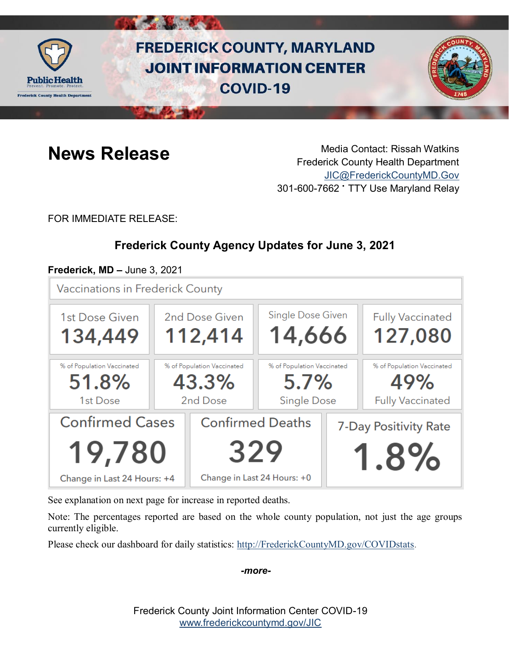

# **FREDERICK COUNTY, MARYLAND JOINT INFORMATION CENTER COVID-19**



**News Release** Media Contact: Rissah Watkins Frederick County Health Department [JIC@FrederickCountyMD.Gov](mailto:JIC@FrederickCountyMD.Gov) 301-600-7662 • TTY Use Maryland Relay

FOR IMMEDIATE RELEASE:

# **Frederick County Agency Updates for June 3, 2021**

### **Frederick, MD –** June 3, 2021

**Vaccinations in Frederick County** 



See explanation on next page for increase in reported deaths.

Note: The percentages reported are based on the whole county population, not just the age groups currently eligible.

Please check our dashboard for daily statistics: [http://FrederickCountyMD.gov/COVIDstats.](http://frederickcountymd.gov/COVIDstats)

*-more-*

Frederick County Joint Information Center COVID-19 [www.frederickcountymd.gov/JIC](https://frederickcountymd.gov/JIC)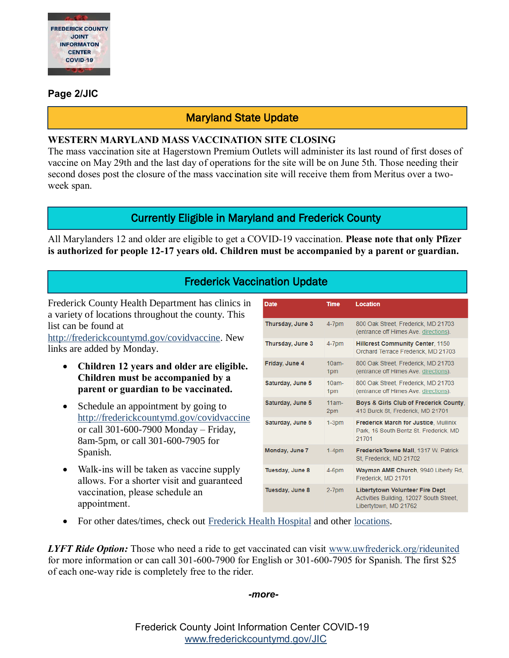

#### **Page 2/JIC**

### Maryland State Update

#### **WESTERN MARYLAND MASS VACCINATION SITE CLOSING**

The mass vaccination site at Hagerstown Premium Outlets will administer its last round of first doses of vaccine on May 29th and the last day of operations for the site will be on June 5th. Those needing their second doses post the closure of the mass vaccination site will receive them from Meritus over a twoweek span.

#### Currently Eligible in Maryland and Frederick County

All Marylanders 12 and older are eligible to get a COVID-19 vaccination. **Please note that only Pfizer is authorized for people 12-17 years old. Children must be accompanied by a parent or guardian.**

# Frederick Vaccination Update

Frederick County Health Department has clinics in a variety of locations throughout the county. This list can be found at

[http://frederickcountymd.gov/covidvaccine.](https://health.frederickcountymd.gov/629/COVID-19-Vaccine) New links are added by Monday.

- **Children 12 years and older are eligible. Children must be accompanied by a parent or guardian to be vaccinated.**
- Schedule an appointment by going to [http://frederickcountymd.gov/covidvaccine](https://health.frederickcountymd.gov/629/COVID-19-Vaccine) or call 301-600-7900 Monday – Friday, 8am-5pm, or call 301-600-7905 for Spanish.
- Walk-ins will be taken as vaccine supply allows. For a shorter visit and guaranteed vaccination, please schedule an appointment.

| <b>Date</b>      | Time            | Location                                                                                                     |
|------------------|-----------------|--------------------------------------------------------------------------------------------------------------|
| Thursday, June 3 | $4-7$ pm        | 800 Oak Street, Frederick, MD 21703<br>(entrance off Himes Ave. directions).                                 |
| Thursday, June 3 | $4-7$ pm        | <b>Hillcrest Community Center, 1150</b><br>Orchard Terrace Frederick, MD 21703                               |
| Friday, June 4   | $10am -$<br>1pm | 800 Oak Street, Frederick, MD 21703<br>(entrance off Himes Ave. directions).                                 |
| Saturday, June 5 | $10am -$<br>1pm | 800 Oak Street, Frederick, MD 21703<br>(entrance off Himes Ave. directions).                                 |
| Saturday, June 5 | $11am -$<br>2pm | Boys & Girls Club of Frederick County.<br>413 Burck St. Frederick, MD 21701                                  |
| Saturday, June 5 | $1-3DM$         | <b>Frederick March for Justice, Mullinix</b><br>Park, 16 South Bentz St. Frederick, MD<br>21701              |
| Monday, June 7   | $1-4DM$         | Frederick Towne Mall, 1317 W. Patrick<br>St. Frederick, MD 21702                                             |
| Tuesday, June 8  | 4-6pm           | Wayman AME Church, 9940 Liberty Rd.<br>Frederick, MD 21701                                                   |
| Tuesday, June 8  | $2-7$ pm        | <b>Libertytown Volunteer Fire Dept.</b><br>Activities Building, 12027 South Street.<br>Libertytown, MD 21762 |

• For other dates/times, check out [Frederick Health Hospital](https://www.frederickhealth.org/patients-visitors/coronavirus-covid-19-/schedule-your-covid-19-vaccine/) and other [locations.](https://www.marylandvax.org/appointment/en/clinic/search)

*LYFT Ride Option:* Those who need a ride to get vaccinated can visit [www.uwfrederick.org/rideunited](http://www.uwfrederick.org/rideunited) for more information or can call 301-600-7900 for English or 301-600-7905 for Spanish. The first \$25 of each one-way ride is completely free to the rider.

*-more-*